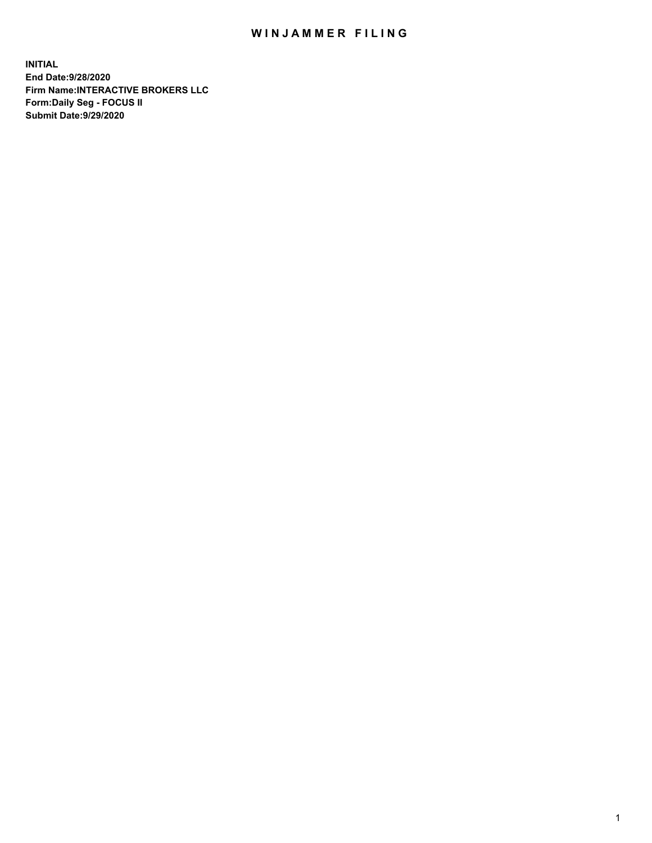## WIN JAMMER FILING

**INITIAL End Date:9/28/2020 Firm Name:INTERACTIVE BROKERS LLC Form:Daily Seg - FOCUS II Submit Date:9/29/2020**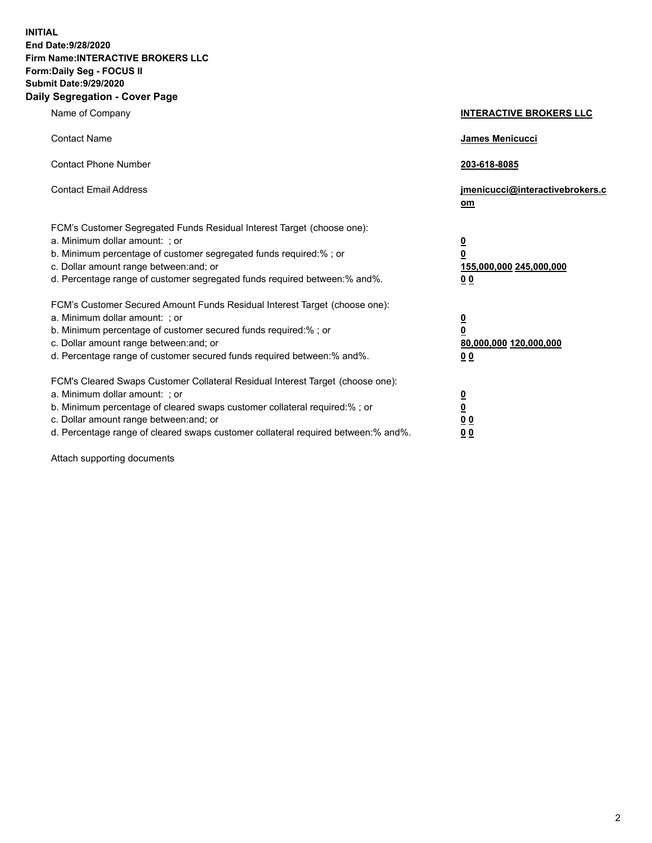**INITIAL End Date:9/28/2020 Firm Name:INTERACTIVE BROKERS LLC Form:Daily Seg - FOCUS II Submit Date:9/29/2020 Daily Segregation - Cover Page**

| Name of Company                                                                                                                                                                                                                                                                                                                | <b>INTERACTIVE BROKERS LLC</b>                                                                  |
|--------------------------------------------------------------------------------------------------------------------------------------------------------------------------------------------------------------------------------------------------------------------------------------------------------------------------------|-------------------------------------------------------------------------------------------------|
| <b>Contact Name</b>                                                                                                                                                                                                                                                                                                            | <b>James Menicucci</b>                                                                          |
| <b>Contact Phone Number</b>                                                                                                                                                                                                                                                                                                    | 203-618-8085                                                                                    |
| <b>Contact Email Address</b>                                                                                                                                                                                                                                                                                                   | jmenicucci@interactivebrokers.c<br>om                                                           |
| FCM's Customer Segregated Funds Residual Interest Target (choose one):<br>a. Minimum dollar amount: ; or<br>b. Minimum percentage of customer segregated funds required:%; or<br>c. Dollar amount range between: and; or<br>d. Percentage range of customer segregated funds required between:% and%.                          | $\overline{\mathbf{0}}$<br>$\overline{\mathbf{0}}$<br>155,000,000 245,000,000<br>0 <sub>0</sub> |
| FCM's Customer Secured Amount Funds Residual Interest Target (choose one):<br>a. Minimum dollar amount: ; or<br>b. Minimum percentage of customer secured funds required:%; or<br>c. Dollar amount range between: and; or<br>d. Percentage range of customer secured funds required between:% and%.                            | <u>0</u><br>$\overline{\mathbf{0}}$<br>80,000,000 120,000,000<br>0 <sub>0</sub>                 |
| FCM's Cleared Swaps Customer Collateral Residual Interest Target (choose one):<br>a. Minimum dollar amount: ; or<br>b. Minimum percentage of cleared swaps customer collateral required:% ; or<br>c. Dollar amount range between: and; or<br>d. Percentage range of cleared swaps customer collateral required between:% and%. | $\overline{\mathbf{0}}$<br>$\underline{\mathbf{0}}$<br>0 <sub>0</sub><br>00                     |

Attach supporting documents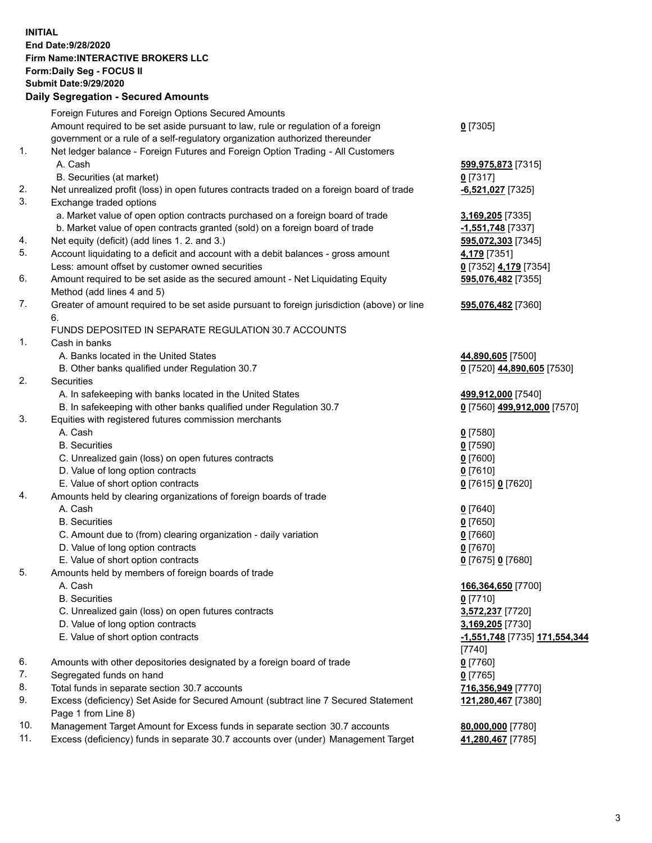**INITIAL End Date:9/28/2020 Firm Name:INTERACTIVE BROKERS LLC Form:Daily Seg - FOCUS II Submit Date:9/29/2020 Daily Segregation - Secured Amounts**

|     | Daily Segregation - Secureu Amounts                                                         |                                      |
|-----|---------------------------------------------------------------------------------------------|--------------------------------------|
|     | Foreign Futures and Foreign Options Secured Amounts                                         |                                      |
|     | Amount required to be set aside pursuant to law, rule or regulation of a foreign            | $0$ [7305]                           |
|     | government or a rule of a self-regulatory organization authorized thereunder                |                                      |
| 1.  | Net ledger balance - Foreign Futures and Foreign Option Trading - All Customers             |                                      |
|     | A. Cash                                                                                     | 599,975,873 [7315]                   |
|     | B. Securities (at market)                                                                   | $0$ [7317]                           |
| 2.  | Net unrealized profit (loss) in open futures contracts traded on a foreign board of trade   | -6,521,027 [7325]                    |
| 3.  | Exchange traded options                                                                     |                                      |
|     | a. Market value of open option contracts purchased on a foreign board of trade              | 3,169,205 [7335]                     |
|     | b. Market value of open contracts granted (sold) on a foreign board of trade                | -1,551,748 [7337]                    |
| 4.  | Net equity (deficit) (add lines 1. 2. and 3.)                                               | 595,072,303 [7345]                   |
| 5.  | Account liquidating to a deficit and account with a debit balances - gross amount           | 4,179 [7351]                         |
|     | Less: amount offset by customer owned securities                                            | 0 [7352] 4,179 [7354]                |
| 6.  | Amount required to be set aside as the secured amount - Net Liquidating Equity              | 595,076,482 [7355]                   |
|     | Method (add lines 4 and 5)                                                                  |                                      |
| 7.  | Greater of amount required to be set aside pursuant to foreign jurisdiction (above) or line |                                      |
|     | 6.                                                                                          | 595,076,482 [7360]                   |
|     | FUNDS DEPOSITED IN SEPARATE REGULATION 30.7 ACCOUNTS                                        |                                      |
| 1.  | Cash in banks                                                                               |                                      |
|     | A. Banks located in the United States                                                       |                                      |
|     | B. Other banks qualified under Regulation 30.7                                              | 44,890,605 [7500]                    |
| 2.  | Securities                                                                                  | 0 [7520] 44,890,605 [7530]           |
|     |                                                                                             |                                      |
|     | A. In safekeeping with banks located in the United States                                   | 499,912,000 [7540]                   |
|     | B. In safekeeping with other banks qualified under Regulation 30.7                          | 0 [7560] 499,912,000 [7570]          |
| 3.  | Equities with registered futures commission merchants                                       |                                      |
|     | A. Cash                                                                                     | $0$ [7580]                           |
|     | <b>B.</b> Securities                                                                        | $0$ [7590]                           |
|     | C. Unrealized gain (loss) on open futures contracts                                         | $0$ [7600]                           |
|     | D. Value of long option contracts                                                           | $0$ [7610]                           |
|     | E. Value of short option contracts                                                          | 0 [7615] 0 [7620]                    |
| 4.  | Amounts held by clearing organizations of foreign boards of trade                           |                                      |
|     | A. Cash                                                                                     | $Q$ [7640]                           |
|     | <b>B.</b> Securities                                                                        | $0$ [7650]                           |
|     | C. Amount due to (from) clearing organization - daily variation                             | $0$ [7660]                           |
|     | D. Value of long option contracts                                                           | $0$ [7670]                           |
|     | E. Value of short option contracts                                                          | 0 [7675] 0 [7680]                    |
| 5.  | Amounts held by members of foreign boards of trade                                          |                                      |
|     | A. Cash                                                                                     | 166,364,650 [7700]                   |
|     | <b>B.</b> Securities                                                                        | $0$ [7710]                           |
|     | C. Unrealized gain (loss) on open futures contracts                                         | 3,572,237 [7720]                     |
|     | D. Value of long option contracts                                                           | 3,169,205 [7730]                     |
|     | E. Value of short option contracts                                                          | <u>-1,551,748</u> [7735] 171,554,344 |
|     |                                                                                             | $[7740]$                             |
| 6.  | Amounts with other depositories designated by a foreign board of trade                      | $0$ [7760]                           |
| 7.  | Segregated funds on hand                                                                    | $0$ [7765]                           |
| 8.  | Total funds in separate section 30.7 accounts                                               | 716,356,949 [7770]                   |
| 9.  | Excess (deficiency) Set Aside for Secured Amount (subtract line 7 Secured Statement         | 121,280,467 [7380]                   |
|     | Page 1 from Line 8)                                                                         |                                      |
| 10. | Management Target Amount for Excess funds in separate section 30.7 accounts                 | 80,000,000 [7780]                    |
| 11. | Excess (deficiency) funds in separate 30.7 accounts over (under) Management Target          | 41,280,467 [7785]                    |
|     |                                                                                             |                                      |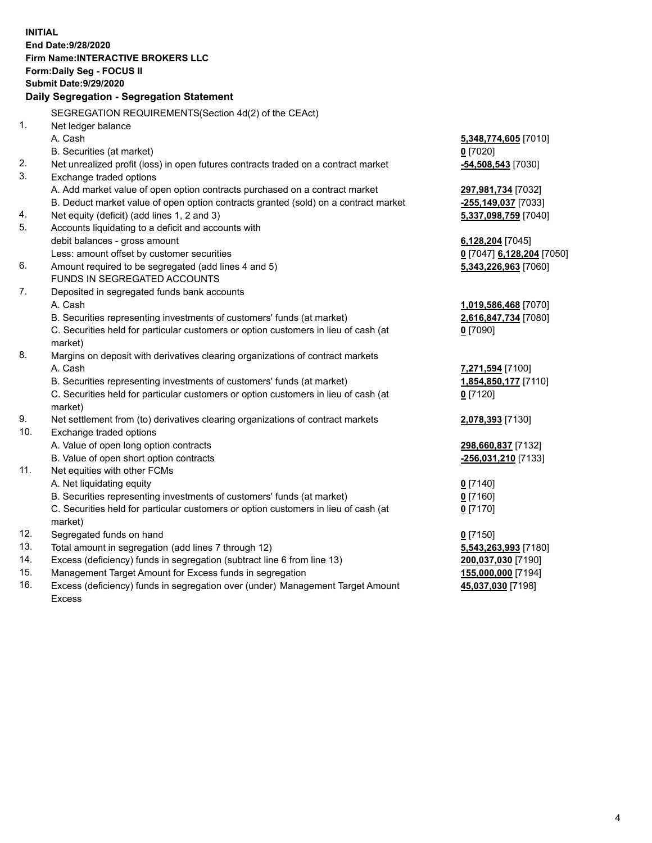**INITIAL End Date:9/28/2020 Firm Name:INTERACTIVE BROKERS LLC Form:Daily Seg - FOCUS II Submit Date:9/29/2020 Daily Segregation - Segregation Statement** SEGREGATION REQUIREMENTS(Section 4d(2) of the CEAct) 1. Net ledger balance A. Cash **5,348,774,605** [7010] B. Securities (at market) **0** [7020] 2. Net unrealized profit (loss) in open futures contracts traded on a contract market **-54,508,543** [7030] 3. Exchange traded options A. Add market value of open option contracts purchased on a contract market **297,981,734** [7032] B. Deduct market value of open option contracts granted (sold) on a contract market **-255,149,037** [7033] 4. Net equity (deficit) (add lines 1, 2 and 3) **5,337,098,759** [7040] 5. Accounts liquidating to a deficit and accounts with debit balances - gross amount **6,128,204** [7045] Less: amount offset by customer securities **0** [7047] **6,128,204** [7050] 6. Amount required to be segregated (add lines 4 and 5) **5,343,226,963** [7060] FUNDS IN SEGREGATED ACCOUNTS 7. Deposited in segregated funds bank accounts A. Cash **1,019,586,468** [7070] B. Securities representing investments of customers' funds (at market) **2,616,847,734** [7080] C. Securities held for particular customers or option customers in lieu of cash (at market) **0** [7090] 8. Margins on deposit with derivatives clearing organizations of contract markets A. Cash **7,271,594** [7100] B. Securities representing investments of customers' funds (at market) **1,854,850,177** [7110] C. Securities held for particular customers or option customers in lieu of cash (at market) **0** [7120] 9. Net settlement from (to) derivatives clearing organizations of contract markets **2,078,393** [7130] 10. Exchange traded options A. Value of open long option contracts **298,660,837** [7132] B. Value of open short option contracts **-256,031,210** [7133] 11. Net equities with other FCMs A. Net liquidating equity **0** [7140] B. Securities representing investments of customers' funds (at market) **0** [7160] C. Securities held for particular customers or option customers in lieu of cash (at market) **0** [7170] 12. Segregated funds on hand **0** [7150] 13. Total amount in segregation (add lines 7 through 12) **5,543,263,993** [7180] 14. Excess (deficiency) funds in segregation (subtract line 6 from line 13) **200,037,030** [7190] 15. Management Target Amount for Excess funds in segregation **155,000,000** [7194]

16. Excess (deficiency) funds in segregation over (under) Management Target Amount Excess

**45,037,030** [7198]